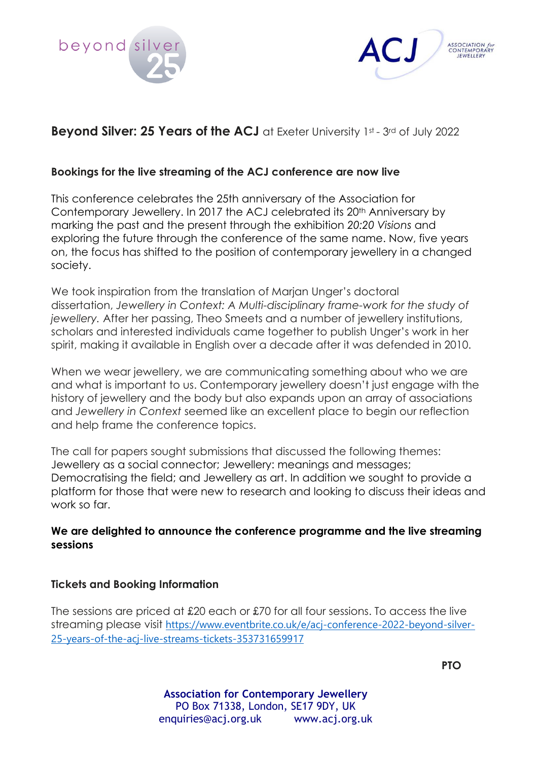



# **Beyond Silver: 25 Years of the ACJ** at Exeter University 1st - 3rd of July 2022

## **Bookings for the live streaming of the ACJ conference are now live**

This conference celebrates the 25th anniversary of the Association for Contemporary Jewellery. In 2017 the ACJ celebrated its 20<sup>th</sup> Anniversary by marking the past and the present through the exhibition *20:20 Visions* and exploring the future through the conference of the same name. Now, five years on, the focus has shifted to the position of contemporary jewellery in a changed society.

We took inspiration from the translation of Marian Unger's doctoral dissertation, *Jewellery in Context: A Multi-disciplinary frame-work for the study of jewellery.* After her passing, Theo Smeets and a number of jewellery institutions, scholars and interested individuals came together to publish Unger's work in her spirit, making it available in English over a decade after it was defended in 2010.

When we wear jewellery, we are communicating something about who we are and what is important to us. Contemporary jewellery doesn't just engage with the history of jewellery and the body but also expands upon an array of associations and *Jewellery in Context* seemed like an excellent place to begin our reflection and help frame the conference topics.

The call for papers sought submissions that discussed the following themes: Jewellery as a social connector; Jewellery: meanings and messages; Democratising the field; and Jewellery as art. In addition we sought to provide a platform for those that were new to research and looking to discuss their ideas and work so far.

## **We are delighted to announce the conference programme and the live streaming sessions**

## **Tickets and Booking Information**

The sessions are priced at £20 each or £70 for all four sessions. To access the live streaming please visit [https://www.eventbrite.co.uk/e/acj-conference-2022-beyond-silver-](https://www.eventbrite.co.uk/e/acj-conference-2022-beyond-silver-25-years-of-the-acj-live-streams-tickets-353731659917)[25-years-of-the-acj-live-streams-tickets-353731659917](https://www.eventbrite.co.uk/e/acj-conference-2022-beyond-silver-25-years-of-the-acj-live-streams-tickets-353731659917)

**PTO**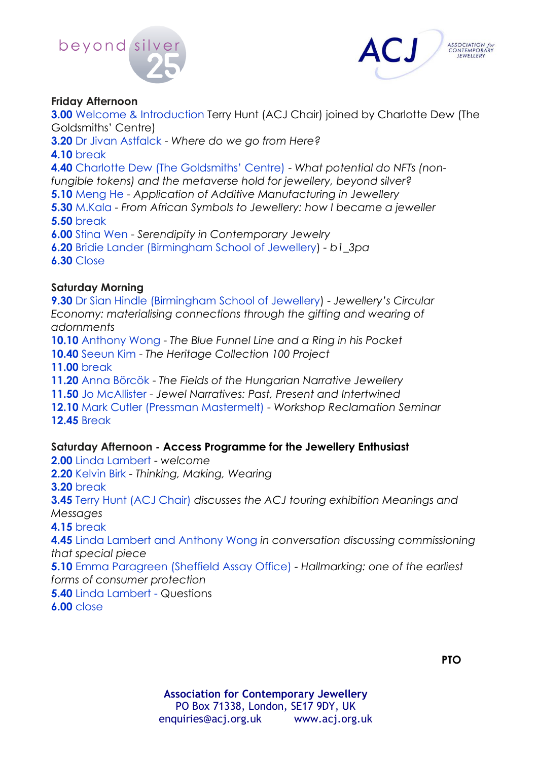



### **Friday Afternoon**

**3.00** Welcome & Introduction Terry Hunt (ACJ Chair) joined by Charlotte Dew (The Goldsmiths' Centre)

**3.20** Dr Jivan Astfalck - *Where do we go from Here?*

**4.10** break

**4.40** Charlotte Dew (The Goldsmiths' Centre) - *What potential do NFTs (nonfungible tokens) and the metaverse hold for jewellery, beyond silver?*

**5.10** Meng He - *Application of Additive Manufacturing in Jewellery*

**5.30** M.Kala - *From African Symbols to Jewellery: how I became a jeweller* **5.50** break

**6.00** Stina Wen - *Serendipity in Contemporary Jewelry*

**6.20** Bridie Lander (Birmingham School of Jewellery) *- b1\_3pa*

**6.30** Close

## **Saturday Morning**

**9.30** Dr Sian Hindle (Birmingham School of Jewellery) - *Jewellery's Circular Economy: materialising connections through the gifting and wearing of adornments*

**10.10** Anthony Wong - *The Blue Funnel Line and a Ring in his Pocket*

**10.40** Seeun Kim - *The Heritage Collection 100 Project*

**11.00** break

**11.20** Anna Börcök - *The Fields of the Hungarian Narrative Jewellery*

**11.50** Jo McAllister - *Jewel Narratives: Past, Present and Intertwined*

**12.10** Mark Cutler (Pressman Mastermelt) - *Workshop Reclamation Seminar* **12.45** Break

## **Saturday Afternoon - Access Programme for the Jewellery Enthusiast**

**2.00** Linda Lambert - *welcome* 

**2.20** Kelvin Birk - *Thinking, Making, Wearing*

**3.20** break

**3.45** Terry Hunt (ACJ Chair) *discusses the ACJ touring exhibition Meanings and Messages* 

**4.15** break

**4.45** Linda Lambert and Anthony Wong *in conversation discussing commissioning that special piece* 

**5.10** Emma Paragreen (Sheffield Assay Office) *- Hallmarking: one of the earliest forms of consumer protection*

**5.40** Linda Lambert - Questions

**6.00** close